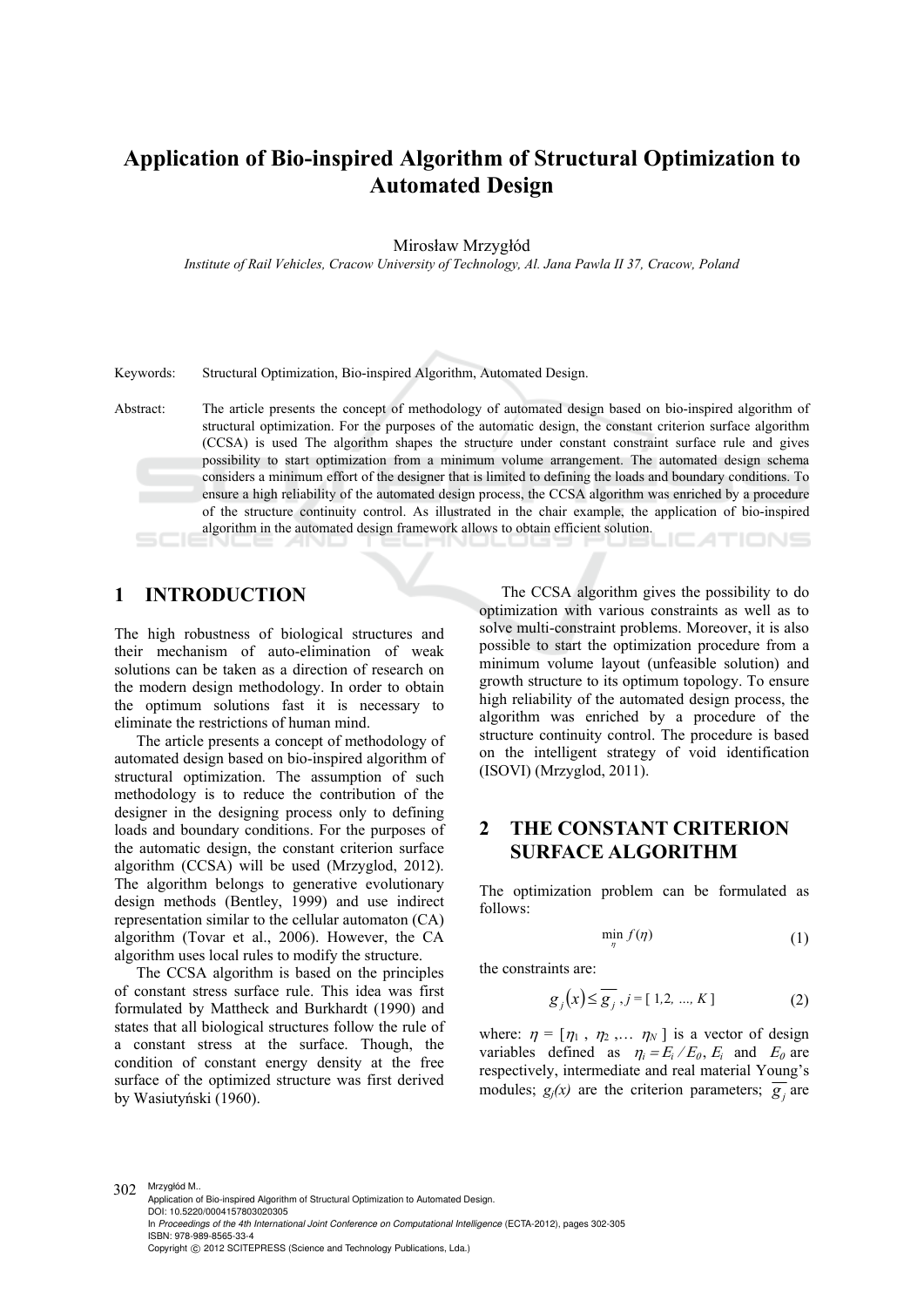# **Application of Bio-inspired Algorithm of Structural Optimization to Automated Design**

Mirosław Mrzygłód

*Institute of Rail Vehicles, Cracow University of Technology, Al. Jana Pawla II 37, Cracow, Poland* 

Keywords: Structural Optimization, Bio-inspired Algorithm, Automated Design.

Abstract: The article presents the concept of methodology of automated design based on bio-inspired algorithm of structural optimization. For the purposes of the automatic design, the constant criterion surface algorithm (CCSA) is used The algorithm shapes the structure under constant constraint surface rule and gives possibility to start optimization from a minimum volume arrangement. The automated design schema considers a minimum effort of the designer that is limited to defining the loads and boundary conditions. To ensure a high reliability of the automated design process, the CCSA algorithm was enriched by a procedure of the structure continuity control. As illustrated in the chair example, the application of bio-inspired algorithm in the automated design framework allows to obtain efficient solution. IC ATIONS

#### **1 INTRODUCTION**

The high robustness of biological structures and their mechanism of auto-elimination of weak solutions can be taken as a direction of research on the modern design methodology. In order to obtain the optimum solutions fast it is necessary to eliminate the restrictions of human mind.

The article presents a concept of methodology of automated design based on bio-inspired algorithm of structural optimization. The assumption of such methodology is to reduce the contribution of the designer in the designing process only to defining loads and boundary conditions. For the purposes of the automatic design, the constant criterion surface algorithm (CCSA) will be used (Mrzyglod, 2012). The algorithm belongs to generative evolutionary design methods (Bentley, 1999) and use indirect representation similar to the cellular automaton (CA) algorithm (Tovar et al., 2006). However, the CA algorithm uses local rules to modify the structure.

The CCSA algorithm is based on the principles of constant stress surface rule. This idea was first formulated by Mattheck and Burkhardt (1990) and states that all biological structures follow the rule of a constant stress at the surface. Though, the condition of constant energy density at the free surface of the optimized structure was first derived by Wasiutyński (1960).

The CCSA algorithm gives the possibility to do optimization with various constraints as well as to solve multi-constraint problems. Moreover, it is also possible to start the optimization procedure from a minimum volume layout (unfeasible solution) and growth structure to its optimum topology. To ensure high reliability of the automated design process, the algorithm was enriched by a procedure of the structure continuity control. The procedure is based on the intelligent strategy of void identification (ISOVI) (Mrzyglod, 2011).

### **2 THE CONSTANT CRITERION SURFACE ALGORITHM**

The optimization problem can be formulated as follows:

$$
\min_{\eta} f(\eta) \tag{1}
$$

the constraints are:

$$
g_j(x) \le \overline{g_j}, j = [1, 2, ..., K]
$$
 (2)

where:  $\eta = [\eta_1, \eta_2, \dots, \eta_N]$  is a vector of design variables defined as  $\eta_i = E_i / E_0$ ,  $E_i$  and  $E_0$  are respectively, intermediate and real material Young's modules;  $g_j(x)$  are the criterion parameters;  $\overline{g_j}$  are

302 Mrzygłód M.. Application of Bio-inspired Algorithm of Structural Optimization to Automated Design. DOI: 10.5220/0004157803020305 In *Proceedings of the 4th International Joint Conference on Computational Intelligence* (ECTA-2012), pages 302-305 ISBN: 978-989-8565-33-4 Copyright © 2012 SCITEPRESS (Science and Technology Publications, Lda.)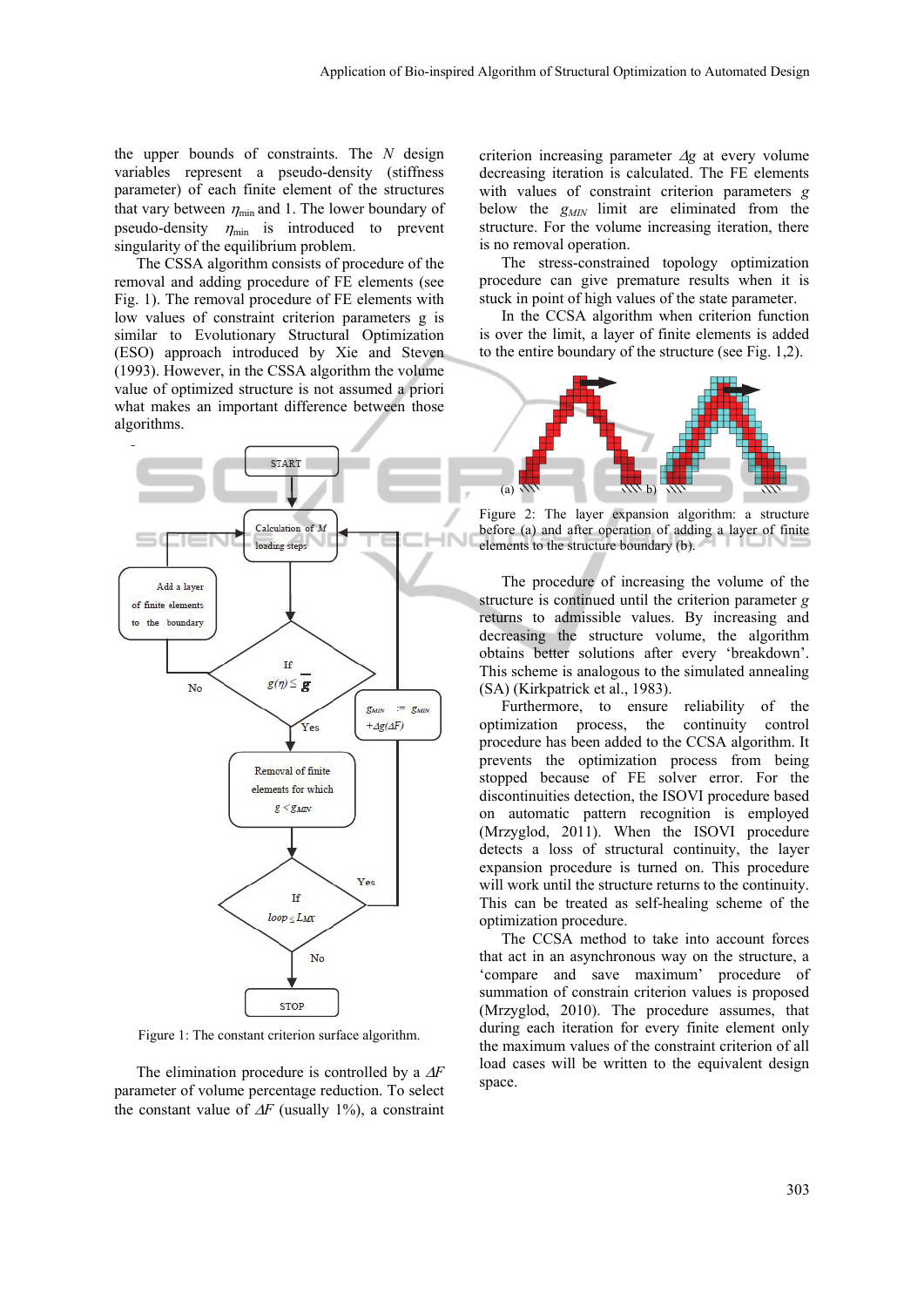the upper bounds of constraints. The *N* design variables represent a pseudo-density (stiffness parameter) of each finite element of the structures that vary between  $\eta_{\min}$  and 1. The lower boundary of pseudo-density  $\eta_{\min}$  is introduced to prevent singularity of the equilibrium problem.

The CSSA algorithm consists of procedure of the removal and adding procedure of FE elements (see Fig. 1). The removal procedure of FE elements with low values of constraint criterion parameters g is similar to Evolutionary Structural Optimization (ESO) approach introduced by Xie and Steven (1993). However, in the CSSA algorithm the volume value of optimized structure is not assumed a priori what makes an important difference between those algorithms.



Figure 1: The constant criterion surface algorithm.

The elimination procedure is controlled by a  $\Delta F$ parameter of volume percentage reduction. To select the constant value of  $\Delta F$  (usually 1%), a constraint criterion increasing parameter  $\Delta g$  at every volume decreasing iteration is calculated. The FE elements with values of constraint criterion parameters *g*  below the  $g_{MN}$  limit are eliminated from the structure. For the volume increasing iteration, there is no removal operation.

The stress-constrained topology optimization procedure can give premature results when it is stuck in point of high values of the state parameter.

In the CCSA algorithm when criterion function is over the limit, a layer of finite elements is added to the entire boundary of the structure (see Fig. 1,2).



Figure 2: The layer expansion algorithm: a structure before (a) and after operation of adding a layer of finite elements to the structure boundary (b).

The procedure of increasing the volume of the structure is continued until the criterion parameter *g* returns to admissible values. By increasing and decreasing the structure volume, the algorithm obtains better solutions after every 'breakdown'. This scheme is analogous to the simulated annealing (SA) (Kirkpatrick et al., 1983).

Furthermore, to ensure reliability of the optimization process, the continuity control procedure has been added to the CCSA algorithm. It prevents the optimization process from being stopped because of FE solver error. For the discontinuities detection, the ISOVI procedure based on automatic pattern recognition is employed (Mrzyglod, 2011). When the ISOVI procedure detects a loss of structural continuity, the layer expansion procedure is turned on. This procedure will work until the structure returns to the continuity. This can be treated as self-healing scheme of the optimization procedure.

The CCSA method to take into account forces that act in an asynchronous way on the structure, a 'compare and save maximum' procedure of summation of constrain criterion values is proposed (Mrzyglod, 2010). The procedure assumes, that during each iteration for every finite element only the maximum values of the constraint criterion of all load cases will be written to the equivalent design space.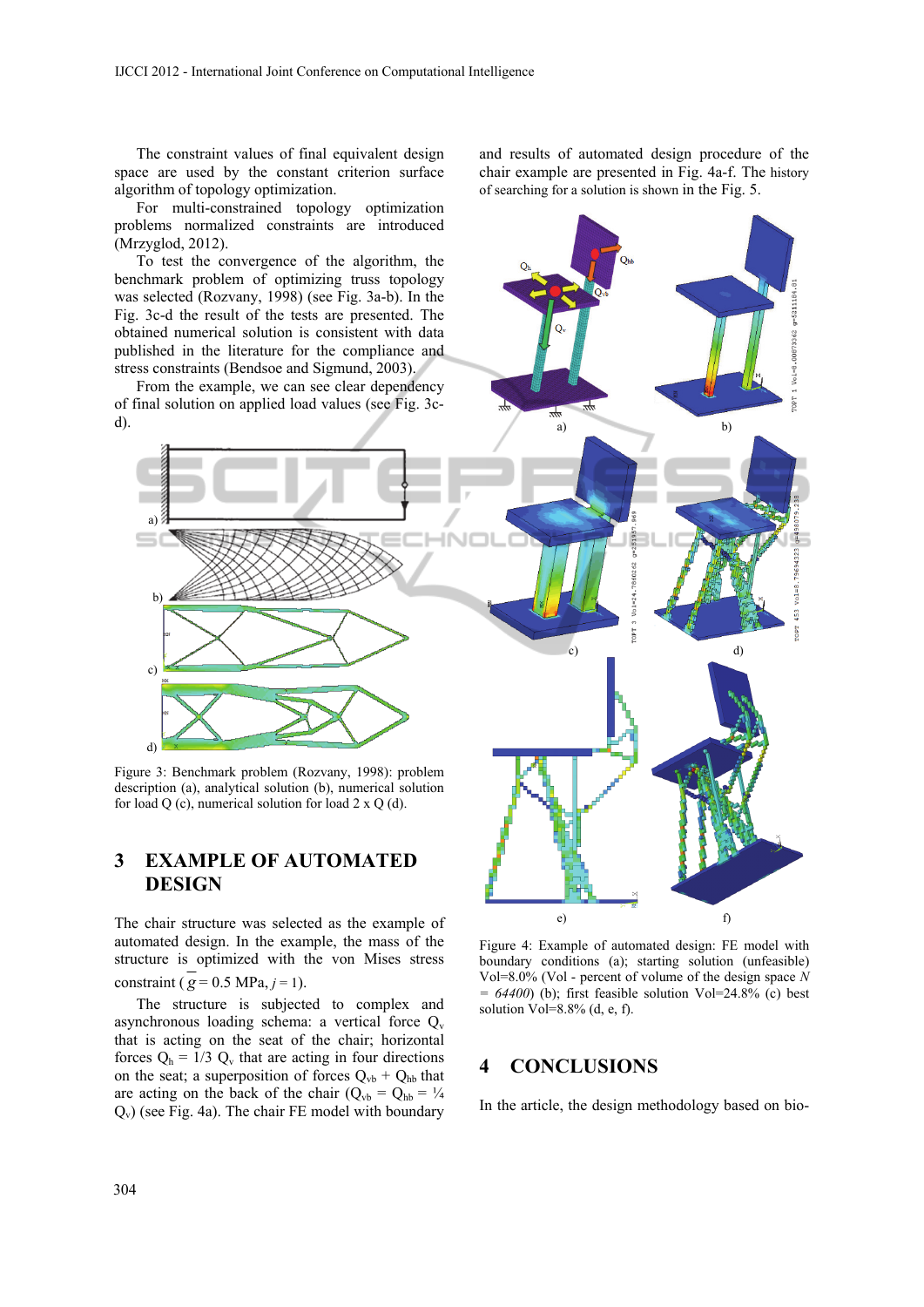The constraint values of final equivalent design space are used by the constant criterion surface algorithm of topology optimization.

For multi-constrained topology optimization problems normalized constraints are introduced (Mrzyglod, 2012).

benchmark problem of optimizing truss topology was selected (Rozvany, 1998) (see Fig. 3a-b). In the Fig. 3c-d the result of the tests are presented. The obtained numerical solution is consistent with data published in the literature for the compliance and stress constraints (Bendsoe and Sigmund, 2003).

From the example, we can see clear dependency of final solution on applied load values (see Fig. 3cd).

and results of automated design procedure of the chair example are presented in Fig. 4a-f. The history of searching for a solution is shown in the Fig. 5.



## **3 EXAMPLE OF AUTOMATED DESIGN**

The chair structure was selected as the example of automated design. In the example, the mass of the structure is optimized with the von Mises stress constraint ( $\overline{g}$  = 0.5 MPa, *j* = 1).

The structure is subjected to complex and asynchronous loading schema: a vertical force  $Q_v$ that is acting on the seat of the chair; horizontal forces  $Q_h = 1/3$   $Q_v$  that are acting in four directions on the seat; a superposition of forces  $Q_{vb} + Q_{hb}$  that are acting on the back of the chair ( $Q_{vb} = Q_{hb} = \frac{1}{4}$  $Q_v$ ) (see Fig. 4a). The chair FE model with boundary

Figure 4: Example of automated design: FE model with boundary conditions (a); starting solution (unfeasible) Vol=8.0% (Vol - percent of volume of the design space *N*   $= 64400$ ) (b); first feasible solution Vol=24.8% (c) best solution Vol=8.8% (d, e, f).

e) f)

#### **4 CONCLUSIONS**

In the article, the design methodology based on bio-